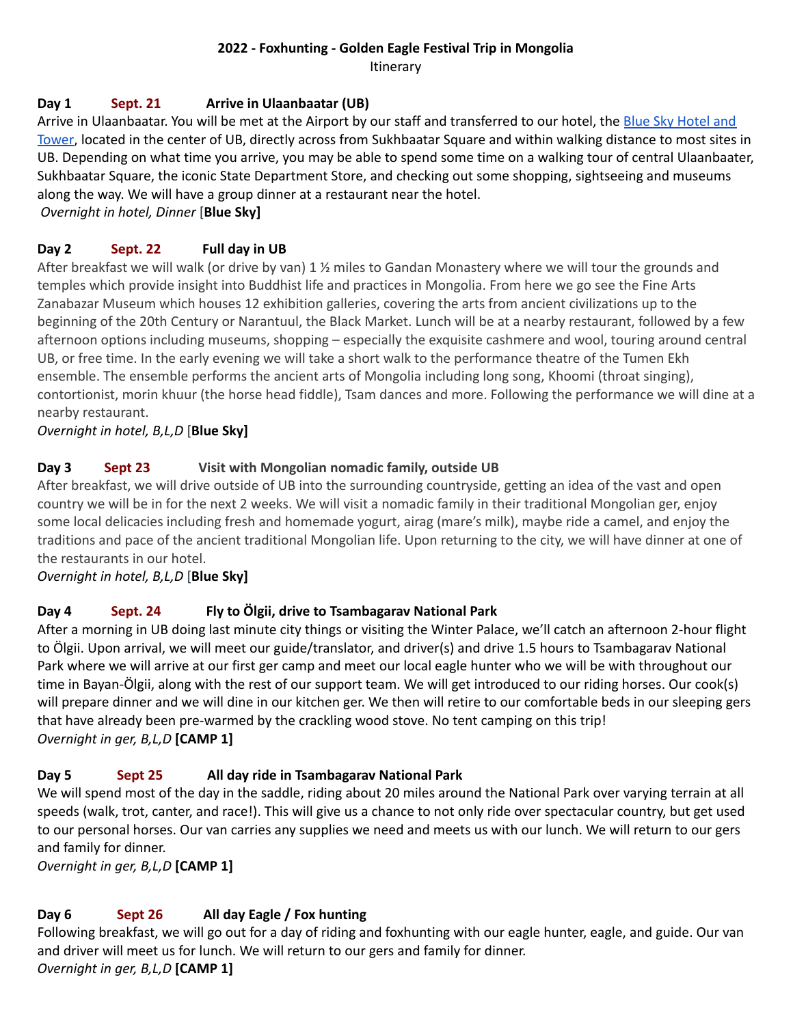# **2022 - Foxhunting - Golden Eagle Festival Trip in Mongolia**

Itinerary

# **Day 1 Sept. 21 Arrive in Ulaanbaatar (UB)**

Arrive in Ulaanbaatar. You will be met at the Airport by our staff and transferred to our hotel, the Blue Sky [Hotel](https://hotelbluesky.mn/) and [Tower](https://hotelbluesky.mn/), located in the center of UB, directly across from Sukhbaatar Square and within walking distance to most sites in UB. Depending on what time you arrive, you may be able to spend some time on a walking tour of central Ulaanbaater, Sukhbaatar Square, the iconic State Department Store, and checking out some shopping, sightseeing and museums along the way. We will have a group dinner at a restaurant near the hotel.

*Overnight in hotel, Dinner* [**Blue Sky]**

# **Day 2 Sept. 22 Full day in UB**

After breakfast we will walk (or drive by van) 1 1/2 miles to Gandan Monastery where we will tour the grounds and temples which provide insight into Buddhist life and practices in Mongolia. From here we go see the Fine Arts Zanabazar Museum which houses 12 exhibition galleries, covering the arts from ancient civilizations up to the beginning of the 20th Century or Narantuul, the Black Market. Lunch will be at a nearby restaurant, followed by a few afternoon options including museums, shopping – especially the exquisite cashmere and wool, touring around central UB, or free time. In the early evening we will take a short walk to the performance theatre of the Tumen Ekh ensemble. The ensemble performs the ancient arts of Mongolia including long song, Khoomi (throat singing), contortionist, morin khuur (the horse head fiddle), Tsam dances and more. Following the performance we will dine at a nearby restaurant.

*Overnight in hotel, B,L,D* [**Blue Sky]**

# **Day 3 Sept 23 Visit with Mongolian nomadic family, outside UB**

After breakfast, we will drive outside of UB into the surrounding countryside, getting an idea of the vast and open country we will be in for the next 2 weeks. We will visit a nomadic family in their traditional Mongolian ger, enjoy some local delicacies including fresh and homemade yogurt, airag (mare's milk), maybe ride a camel, and enjoy the traditions and pace of the ancient traditional Mongolian life. Upon returning to the city, we will have dinner at one of the restaurants in our hotel.

*Overnight in hotel, B,L,D* [**Blue Sky]**

# **Day 4 Sept. 24 Fly to Ölgii, drive to Tsambagarav National Park**

After a morning in UB doing last minute city things or visiting the Winter Palace, we'll catch an afternoon 2-hour flight to Ölgii. Upon arrival, we will meet our guide/translator, and driver(s) and drive 1.5 hours to Tsambagarav National Park where we will arrive at our first ger camp and meet our local eagle hunter who we will be with throughout our time in Bayan-Ölgii, along with the rest of our support team. We will get introduced to our riding horses. Our cook(s) will prepare dinner and we will dine in our kitchen ger. We then will retire to our comfortable beds in our sleeping gers that have already been pre-warmed by the crackling wood stove. No tent camping on this trip! *Overnight in ger, B,L,D* **[CAMP 1]**

# **Day 5 Sept 25 All day ride in Tsambagarav National Park**

We will spend most of the day in the saddle, riding about 20 miles around the National Park over varying terrain at all speeds (walk, trot, canter, and race!). This will give us a chance to not only ride over spectacular country, but get used to our personal horses. Our van carries any supplies we need and meets us with our lunch. We will return to our gers and family for dinner.

*Overnight in ger, B,L,D* **[CAMP 1]**

# **Day 6 Sept 26 All day Eagle / Fox hunting**

Following breakfast, we will go out for a day of riding and foxhunting with our eagle hunter, eagle, and guide. Our van and driver will meet us for lunch. We will return to our gers and family for dinner.

*Overnight in ger, B,L,D* **[CAMP 1]**